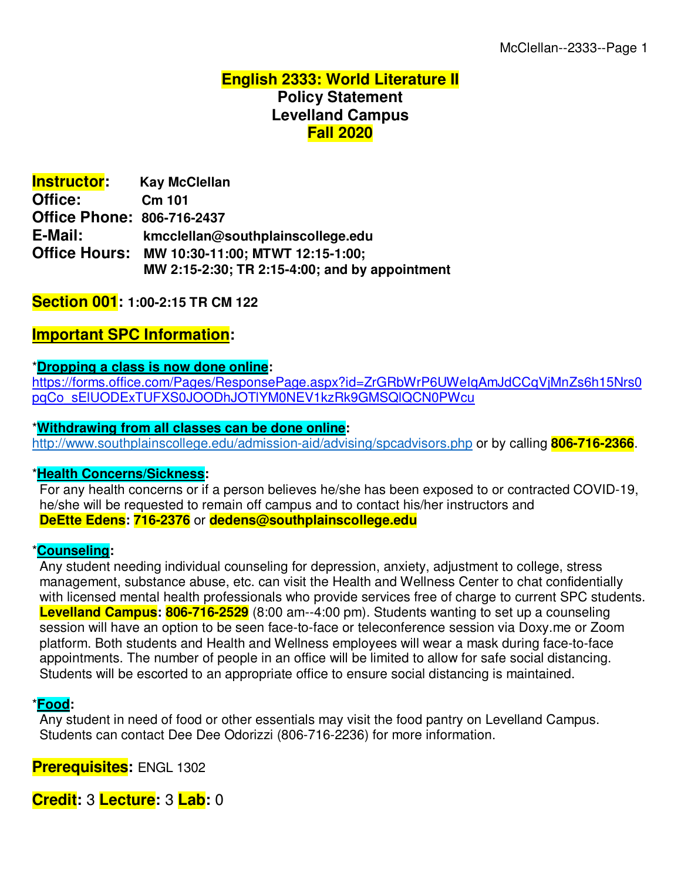### **English 2333: World Literature II Policy Statement Levelland Campus Fall 2020**

| <b>Instructor:</b>   | <b>Kay McClellan</b>                           |
|----------------------|------------------------------------------------|
| Office:              | Cm 101                                         |
|                      | <b>Office Phone: 806-716-2437</b>              |
| E-Mail:              | kmcclellan@southplainscollege.edu              |
| <b>Office Hours:</b> | MW 10:30-11:00; MTWT 12:15-1:00;               |
|                      | MW 2:15-2:30; TR 2:15-4:00; and by appointment |

#### **Section 001: 1:00-2:15 TR CM 122**

#### **Important SPC Information:**

#### \***Dropping a class is now done online:**

https://forms.office.com/Pages/ResponsePage.aspx?id=ZrGRbWrP6UWeIqAmJdCCqVjMnZs6h15Nrs0 pqCo\_sElUODExTUFXS0JOODhJOTlYM0NEV1kzRk9GMSQlQCN0PWcu

#### \***Withdrawing from all classes can be done online:**

http://www.southplainscollege.edu/admission-aid/advising/spcadvisors.php or by calling **806-716-2366**.

#### \***Health Concerns/Sickness:**

 For any health concerns or if a person believes he/she has been exposed to or contracted COVID-19, he/she will be requested to remain off campus and to contact his/her instructors and **DeEtte Edens: 716-2376** or **dedens@southplainscollege.edu**

#### \***Counseling:**

 Any student needing individual counseling for depression, anxiety, adjustment to college, stress management, substance abuse, etc. can visit the Health and Wellness Center to chat confidentially with licensed mental health professionals who provide services free of charge to current SPC students. **Levelland Campus: 806-716-2529** (8:00 am--4:00 pm). Students wanting to set up a counseling session will have an option to be seen face-to-face or teleconference session via Doxy.me or Zoom platform. Both students and Health and Wellness employees will wear a mask during face-to-face appointments. The number of people in an office will be limited to allow for safe social distancing. Students will be escorted to an appropriate office to ensure social distancing is maintained.

#### \***Food:**

 Any student in need of food or other essentials may visit the food pantry on Levelland Campus. Students can contact Dee Dee Odorizzi (806-716-2236) for more information.

**Prerequisites:** ENGL 1302

**Credit:** 3 **Lecture:** 3 **Lab:** 0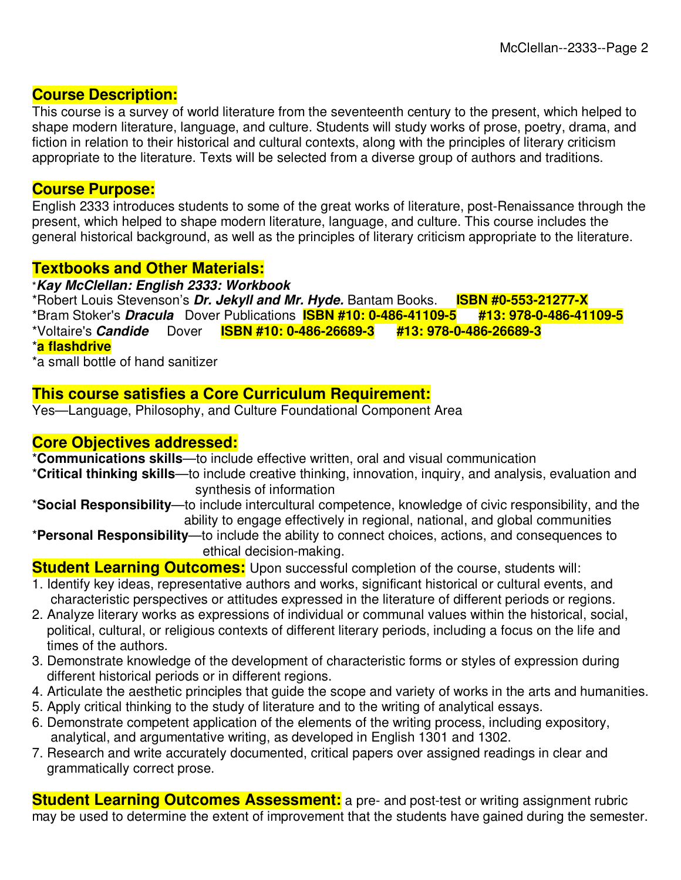## **Course Description:**

This course is a survey of world literature from the seventeenth century to the present, which helped to shape modern literature, language, and culture. Students will study works of prose, poetry, drama, and fiction in relation to their historical and cultural contexts, along with the principles of literary criticism appropriate to the literature. Texts will be selected from a diverse group of authors and traditions.

#### **Course Purpose:**

English 2333 introduces students to some of the great works of literature, post-Renaissance through the present, which helped to shape modern literature, language, and culture. This course includes the general historical background, as well as the principles of literary criticism appropriate to the literature.

## **Textbooks and Other Materials:**

#### \**Kay McClellan: English 2333: Workbook*

\*Robert Louis Stevenson's *Dr. Jekyll and Mr. Hyde.* Bantam Books. **ISBN #0-553-21277-X** \*Bram Stoker's *Dracula* Dover Publications **ISBN #10: 0-486-41109-5 #13: 978-0-486-41109-5**

\*Voltaire's *Candide* Dover **ISBN #10: 0-486-26689-3 #13: 978-0-486-26689-3**

\***a flashdrive**

\*a small bottle of hand sanitizer

# **This course satisfies a Core Curriculum Requirement:**

Yes—Language, Philosophy, and Culture Foundational Component Area

#### **Core Objectives addressed:**

\***Communications skills**—to include effective written, oral and visual communication

- \***Critical thinking skills**—to include creative thinking, innovation, inquiry, and analysis, evaluation and synthesis of information
- \***Social Responsibility**—to include intercultural competence, knowledge of civic responsibility, and the ability to engage effectively in regional, national, and global communities
- \***Personal Responsibility**—to include the ability to connect choices, actions, and consequences to ethical decision-making.

**Student Learning Outcomes:** Upon successful completion of the course, students will:

- 1. Identify key ideas, representative authors and works, significant historical or cultural events, and characteristic perspectives or attitudes expressed in the literature of different periods or regions.
- 2. Analyze literary works as expressions of individual or communal values within the historical, social, political, cultural, or religious contexts of different literary periods, including a focus on the life and times of the authors.
- 3. Demonstrate knowledge of the development of characteristic forms or styles of expression during different historical periods or in different regions.
- 4. Articulate the aesthetic principles that guide the scope and variety of works in the arts and humanities.
- 5. Apply critical thinking to the study of literature and to the writing of analytical essays.
- 6. Demonstrate competent application of the elements of the writing process, including expository, analytical, and argumentative writing, as developed in English 1301 and 1302.
- 7. Research and write accurately documented, critical papers over assigned readings in clear and grammatically correct prose.

**Student Learning Outcomes Assessment:** a pre- and post-test or writing assignment rubric may be used to determine the extent of improvement that the students have gained during the semester.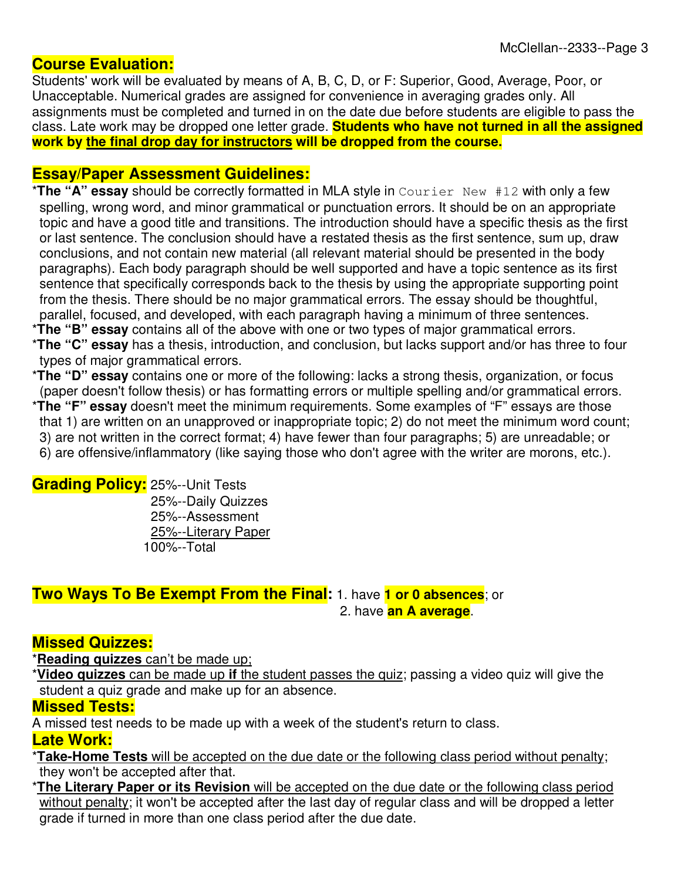# **Course Evaluation:**

Students' work will be evaluated by means of A, B, C, D, or F: Superior, Good, Average, Poor, or Unacceptable. Numerical grades are assigned for convenience in averaging grades only. All assignments must be completed and turned in on the date due before students are eligible to pass the class. Late work may be dropped one letter grade. **Students who have not turned in all the assigned work by the final drop day for instructors will be dropped from the course.**

# **Essay/Paper Assessment Guidelines:**

- \***The "A" essay** should be correctly formatted in MLA style in Courier New #12 with only a few spelling, wrong word, and minor grammatical or punctuation errors. It should be on an appropriate topic and have a good title and transitions. The introduction should have a specific thesis as the first or last sentence. The conclusion should have a restated thesis as the first sentence, sum up, draw conclusions, and not contain new material (all relevant material should be presented in the body paragraphs). Each body paragraph should be well supported and have a topic sentence as its first sentence that specifically corresponds back to the thesis by using the appropriate supporting point from the thesis. There should be no major grammatical errors. The essay should be thoughtful, parallel, focused, and developed, with each paragraph having a minimum of three sentences.
- \***The "B" essay** contains all of the above with one or two types of major grammatical errors.
- \***The "C" essay** has a thesis, introduction, and conclusion, but lacks support and/or has three to four types of major grammatical errors.
- \***The "D" essay** contains one or more of the following: lacks a strong thesis, organization, or focus (paper doesn't follow thesis) or has formatting errors or multiple spelling and/or grammatical errors.
- \***The "F" essay** doesn't meet the minimum requirements. Some examples of "F" essays are those that 1) are written on an unapproved or inappropriate topic; 2) do not meet the minimum word count; 3) are not written in the correct format; 4) have fewer than four paragraphs; 5) are unreadable; or 6) are offensive/inflammatory (like saying those who don't agree with the writer are morons, etc.).

#### **Grading Policy:** 25%--Unit Tests

 25%--Daily Quizzes 25%--Assessment 25%--Literary Paper 100%--Total

#### **Two Ways To Be Exempt From the Final:** 1. have **1 or 0 absences**; or 2. have **an A average**.

#### **Missed Quizzes:**

\***Reading quizzes** can't be made up;

\***Video quizzes** can be made up **if** the student passes the quiz; passing a video quiz will give the student a quiz grade and make up for an absence.

#### **Missed Tests:**

A missed test needs to be made up with a week of the student's return to class. **Late Work:** 

- \***Take-Home Tests** will be accepted on the due date or the following class period without penalty; they won't be accepted after that.
- \***The Literary Paper or its Revision** will be accepted on the due date or the following class period without penalty; it won't be accepted after the last day of regular class and will be dropped a letter grade if turned in more than one class period after the due date.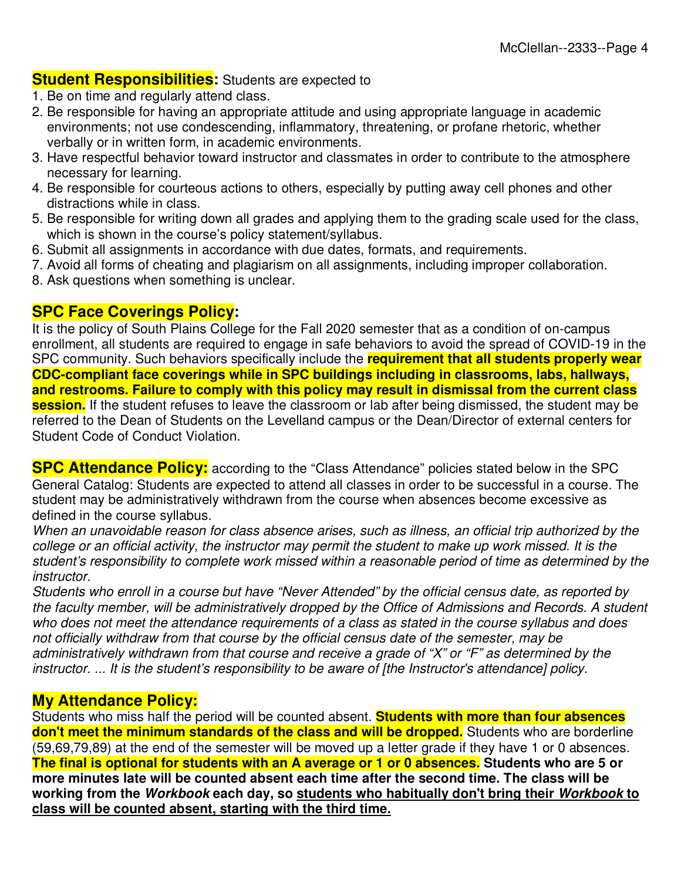### **Student Responsibilities:** Students are expected to

- 1. Be on time and regularly attend class.
- 2. Be responsible for having an appropriate attitude and using appropriate language in academic environments; not use condescending, inflammatory, threatening, or profane rhetoric, whether verbally or in written form, in academic environments.
- 3. Have respectful behavior toward instructor and classmates in order to contribute to the atmosphere necessary for learning.
- 4. Be responsible for courteous actions to others, especially by putting away cell phones and other distractions while in class.
- 5. Be responsible for writing down all grades and applying them to the grading scale used for the class, which is shown in the course's policy statement/syllabus.
- 6. Submit all assignments in accordance with due dates, formats, and requirements.
- 7. Avoid all forms of cheating and plagiarism on all assignments, including improper collaboration.
- 8. Ask questions when something is unclear.

#### **SPC Face Coverings Policy:**

It is the policy of South Plains College for the Fall 2020 semester that as a condition of on-campus enrollment, all students are required to engage in safe behaviors to avoid the spread of COVID-19 in the SPC community. Such behaviors specifically include the **requirement that all students properly wear CDC-compliant face coverings while in SPC buildings including in classrooms, labs, hallways, and restrooms. Failure to comply with this policy may result in dismissal from the current class session.** If the student refuses to leave the classroom or lab after being dismissed, the student may be referred to the Dean of Students on the Levelland campus or the Dean/Director of external centers for Student Code of Conduct Violation.

**SPC Attendance Policy:** according to the "Class Attendance" policies stated below in the SPC General Catalog: Students are expected to attend all classes in order to be successful in a course. The student may be administratively withdrawn from the course when absences become excessive as defined in the course syllabus.

When an unavoidable reason for class absence arises, such as illness, an official trip authorized by the college or an official activity, the instructor may permit the student to make up work missed. It is the student's responsibility to complete work missed within a reasonable period of time as determined by the instructor.

Students who enroll in a course but have "Never Attended" by the official census date, as reported by the faculty member, will be administratively dropped by the Office of Admissions and Records. A student who does not meet the attendance requirements of a class as stated in the course syllabus and does not officially withdraw from that course by the official census date of the semester, may be administratively withdrawn from that course and receive a grade of "X" or "F" as determined by the instructor. ... It is the student's responsibility to be aware of [the Instructor's attendance] policy.

## **My Attendance Policy:**

Students who miss half the period will be counted absent. **Students with more than four absences**  don't meet the minimum standards of the class and will be dropped. Students who are borderline (59,69,79,89) at the end of the semester will be moved up a letter grade if they have 1 or 0 absences. **The final is optional for students with an A average or 1 or 0 absences. Students who are 5 or more minutes late will be counted absent each time after the second time. The class will be working from the** *Workbook* **each day, so students who habitually don't bring their** *Workbook* **to class will be counted absent, starting with the third time.**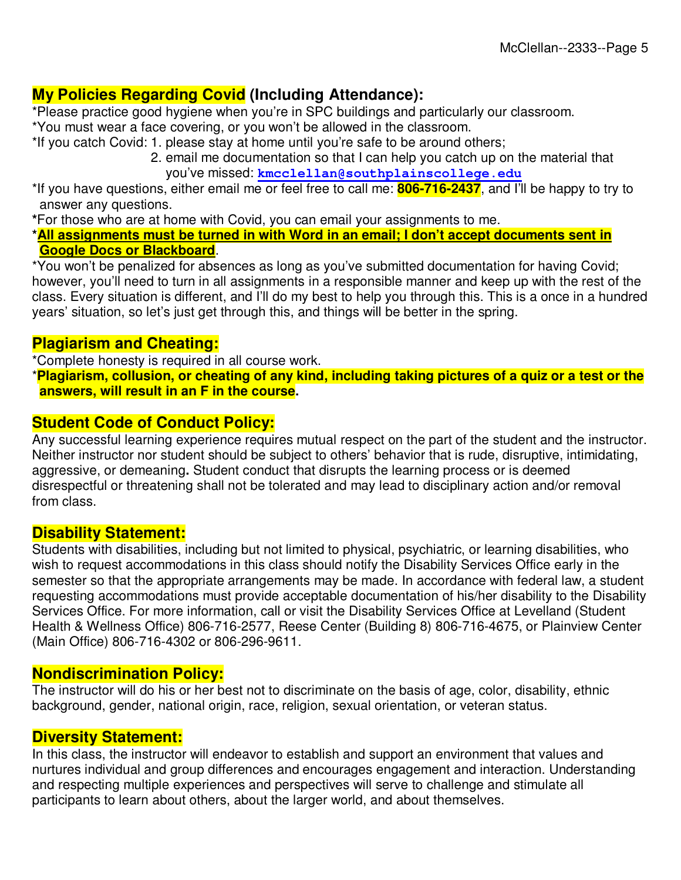# **My Policies Regarding Covid (Including Attendance):**

\*Please practice good hygiene when you're in SPC buildings and particularly our classroom.

- \*You must wear a face covering, or you won't be allowed in the classroom.
- \*If you catch Covid: 1. please stay at home until you're safe to be around others;
	- 2. email me documentation so that I can help you catch up on the material that you've missed: **kmcclellan@southplainscollege.edu**

\*If you have questions, either email me or feel free to call me: **806-716-2437**, and I'll be happy to try to answer any questions.

**\***For those who are at home with Covid, you can email your assignments to me.

**\*All assignments must be turned in with Word in an email; I don't accept documents sent in Google Docs or Blackboard**.

\*You won't be penalized for absences as long as you've submitted documentation for having Covid; however, you'll need to turn in all assignments in a responsible manner and keep up with the rest of the class. Every situation is different, and I'll do my best to help you through this. This is a once in a hundred years' situation, so let's just get through this, and things will be better in the spring.

## **Plagiarism and Cheating:**

\*Complete honesty is required in all course work.

\***Plagiarism, collusion, or cheating of any kind, including taking pictures of a quiz or a test or the answers, will result in an F in the course.**

# **Student Code of Conduct Policy:**

Any successful learning experience requires mutual respect on the part of the student and the instructor. Neither instructor nor student should be subject to others' behavior that is rude, disruptive, intimidating, aggressive, or demeaning**.** Student conduct that disrupts the learning process or is deemed disrespectful or threatening shall not be tolerated and may lead to disciplinary action and/or removal from class.

#### **Disability Statement:**

Students with disabilities, including but not limited to physical, psychiatric, or learning disabilities, who wish to request accommodations in this class should notify the Disability Services Office early in the semester so that the appropriate arrangements may be made. In accordance with federal law, a student requesting accommodations must provide acceptable documentation of his/her disability to the Disability Services Office. For more information, call or visit the Disability Services Office at Levelland (Student Health & Wellness Office) 806-716-2577, Reese Center (Building 8) 806-716-4675, or Plainview Center (Main Office) 806-716-4302 or 806-296-9611.

#### **Nondiscrimination Policy:**

The instructor will do his or her best not to discriminate on the basis of age, color, disability, ethnic background, gender, national origin, race, religion, sexual orientation, or veteran status.

#### **Diversity Statement:**

In this class, the instructor will endeavor to establish and support an environment that values and nurtures individual and group differences and encourages engagement and interaction. Understanding and respecting multiple experiences and perspectives will serve to challenge and stimulate all participants to learn about others, about the larger world, and about themselves.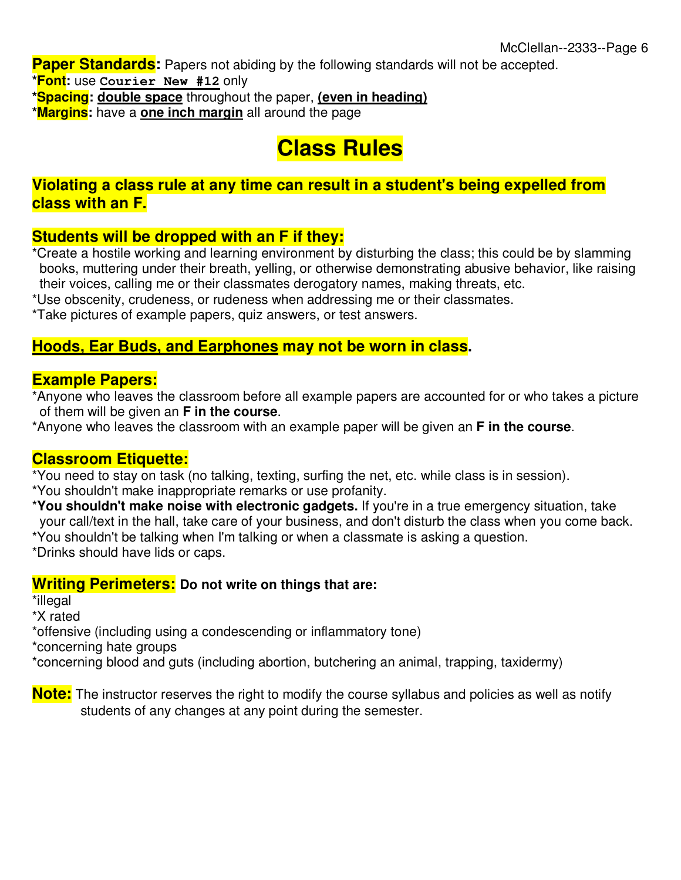**Paper Standards:** Papers not abiding by the following standards will not be accepted.

**\*Font:** use **Courier New #12** only

**\*Spacing: double space** throughout the paper, **(even in heading)**

**\*Margins:** have a **one inch margin** all around the page

# **Class Rules**

## **Violating a class rule at any time can result in a student's being expelled from class with an F.**

# **Students will be dropped with an F if they:**

\*Create a hostile working and learning environment by disturbing the class; this could be by slamming books, muttering under their breath, yelling, or otherwise demonstrating abusive behavior, like raising their voices, calling me or their classmates derogatory names, making threats, etc.

\*Use obscenity, crudeness, or rudeness when addressing me or their classmates.

\*Take pictures of example papers, quiz answers, or test answers.

## **Hoods, Ear Buds, and Earphones may not be worn in class.**

#### **Example Papers:**

\*Anyone who leaves the classroom before all example papers are accounted for or who takes a picture of them will be given an **F in the course**.

\*Anyone who leaves the classroom with an example paper will be given an **F in the course**.

#### **Classroom Etiquette:**

\*You need to stay on task (no talking, texting, surfing the net, etc. while class is in session).

\*You shouldn't make inappropriate remarks or use profanity.

\***You shouldn't make noise with electronic gadgets.** If you're in a true emergency situation, take your call/text in the hall, take care of your business, and don't disturb the class when you come back.

\*You shouldn't be talking when I'm talking or when a classmate is asking a question.

\*Drinks should have lids or caps.

## **Writing Perimeters: Do not write on things that are:**

\*illegal

\*X rated

\*offensive (including using a condescending or inflammatory tone)

\*concerning hate groups

\*concerning blood and guts (including abortion, butchering an animal, trapping, taxidermy)

**Note:** The instructor reserves the right to modify the course syllabus and policies as well as notify students of any changes at any point during the semester.